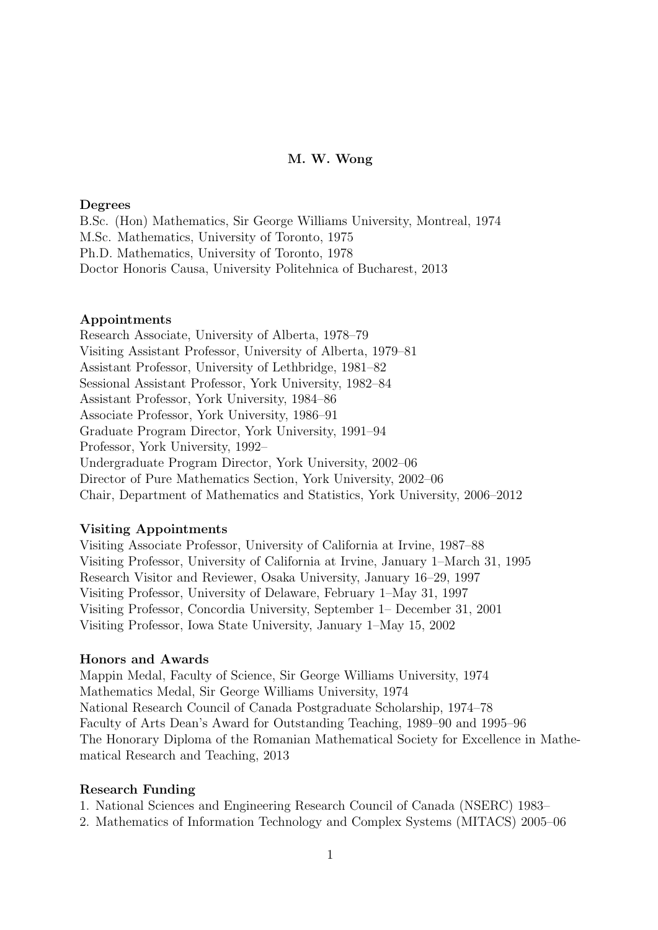## M. W. Wong

### Degrees

B.Sc. (Hon) Mathematics, Sir George Williams University, Montreal, 1974 M.Sc. Mathematics, University of Toronto, 1975 Ph.D. Mathematics, University of Toronto, 1978 Doctor Honoris Causa, University Politehnica of Bucharest, 2013

### Appointments

Research Associate, University of Alberta, 1978–79 Visiting Assistant Professor, University of Alberta, 1979–81 Assistant Professor, University of Lethbridge, 1981–82 Sessional Assistant Professor, York University, 1982–84 Assistant Professor, York University, 1984–86 Associate Professor, York University, 1986–91 Graduate Program Director, York University, 1991–94 Professor, York University, 1992– Undergraduate Program Director, York University, 2002–06 Director of Pure Mathematics Section, York University, 2002–06 Chair, Department of Mathematics and Statistics, York University, 2006–2012

### Visiting Appointments

Visiting Associate Professor, University of California at Irvine, 1987–88 Visiting Professor, University of California at Irvine, January 1–March 31, 1995 Research Visitor and Reviewer, Osaka University, January 16–29, 1997 Visiting Professor, University of Delaware, February 1–May 31, 1997 Visiting Professor, Concordia University, September 1– December 31, 2001 Visiting Professor, Iowa State University, January 1–May 15, 2002

#### Honors and Awards

Mappin Medal, Faculty of Science, Sir George Williams University, 1974 Mathematics Medal, Sir George Williams University, 1974 National Research Council of Canada Postgraduate Scholarship, 1974–78 Faculty of Arts Dean's Award for Outstanding Teaching, 1989–90 and 1995–96 The Honorary Diploma of the Romanian Mathematical Society for Excellence in Mathematical Research and Teaching, 2013

### Research Funding

1. National Sciences and Engineering Research Council of Canada (NSERC) 1983–

2. Mathematics of Information Technology and Complex Systems (MITACS) 2005–06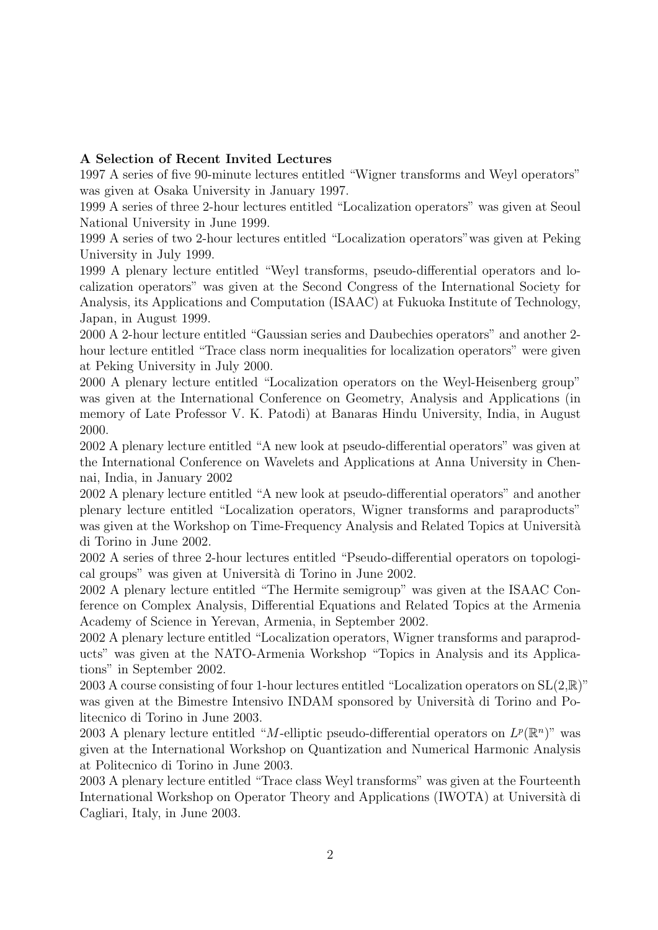## A Selection of Recent Invited Lectures

1997 A series of five 90-minute lectures entitled "Wigner transforms and Weyl operators" was given at Osaka University in January 1997.

1999 A series of three 2-hour lectures entitled "Localization operators" was given at Seoul National University in June 1999.

1999 A series of two 2-hour lectures entitled "Localization operators"was given at Peking University in July 1999.

1999 A plenary lecture entitled "Weyl transforms, pseudo-differential operators and localization operators" was given at the Second Congress of the International Society for Analysis, its Applications and Computation (ISAAC) at Fukuoka Institute of Technology, Japan, in August 1999.

2000 A 2-hour lecture entitled "Gaussian series and Daubechies operators" and another 2 hour lecture entitled "Trace class norm inequalities for localization operators" were given at Peking University in July 2000.

2000 A plenary lecture entitled "Localization operators on the Weyl-Heisenberg group" was given at the International Conference on Geometry, Analysis and Applications (in memory of Late Professor V. K. Patodi) at Banaras Hindu University, India, in August 2000.

2002 A plenary lecture entitled "A new look at pseudo-differential operators" was given at the International Conference on Wavelets and Applications at Anna University in Chennai, India, in January 2002

2002 A plenary lecture entitled "A new look at pseudo-differential operators" and another plenary lecture entitled "Localization operators, Wigner transforms and paraproducts" was given at the Workshop on Time-Frequency Analysis and Related Topics at Università di Torino in June 2002.

2002 A series of three 2-hour lectures entitled "Pseudo-differential operators on topological groups" was given at Universit`a di Torino in June 2002.

2002 A plenary lecture entitled "The Hermite semigroup" was given at the ISAAC Conference on Complex Analysis, Differential Equations and Related Topics at the Armenia Academy of Science in Yerevan, Armenia, in September 2002.

2002 A plenary lecture entitled "Localization operators, Wigner transforms and paraproducts" was given at the NATO-Armenia Workshop "Topics in Analysis and its Applications" in September 2002.

2003 A course consisting of four 1-hour lectures entitled "Localization operators on  $SL(2,\mathbb{R})$ " was given at the Bimestre Intensivo INDAM sponsored by Università di Torino and Politecnico di Torino in June 2003.

2003 A plenary lecture entitled "M-elliptic pseudo-differential operators on  $L^p(\mathbb{R}^n)$ " was given at the International Workshop on Quantization and Numerical Harmonic Analysis at Politecnico di Torino in June 2003.

2003 A plenary lecture entitled "Trace class Weyl transforms" was given at the Fourteenth International Workshop on Operator Theory and Applications (IWOTA) at Università di Cagliari, Italy, in June 2003.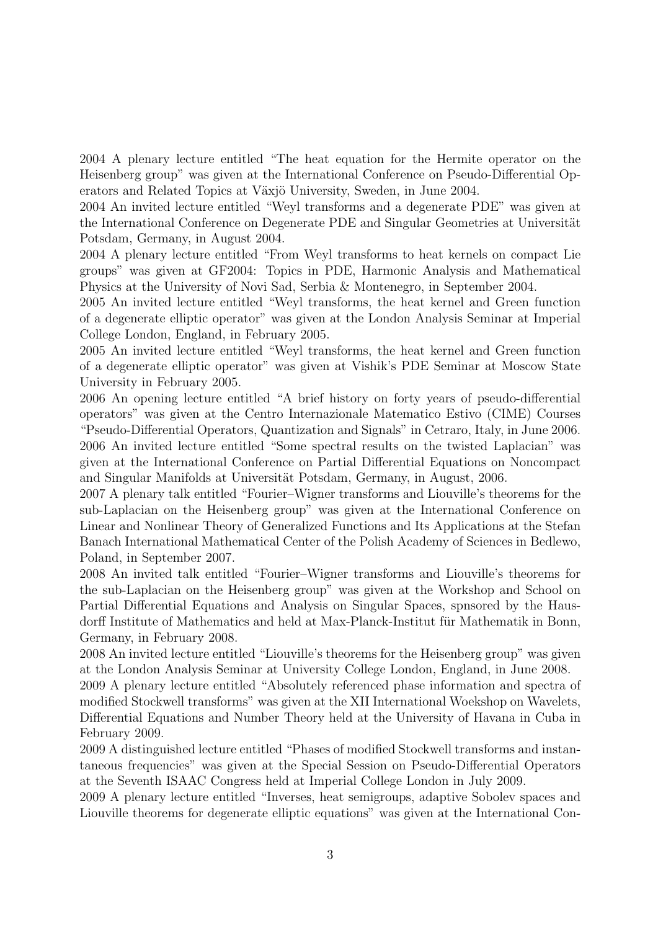2004 A plenary lecture entitled "The heat equation for the Hermite operator on the Heisenberg group" was given at the International Conference on Pseudo-Differential Operators and Related Topics at Växjö University, Sweden, in June 2004.

2004 An invited lecture entitled "Weyl transforms and a degenerate PDE" was given at the International Conference on Degenerate PDE and Singular Geometries at Universität Potsdam, Germany, in August 2004.

2004 A plenary lecture entitled "From Weyl transforms to heat kernels on compact Lie groups" was given at GF2004: Topics in PDE, Harmonic Analysis and Mathematical Physics at the University of Novi Sad, Serbia & Montenegro, in September 2004.

2005 An invited lecture entitled "Weyl transforms, the heat kernel and Green function of a degenerate elliptic operator" was given at the London Analysis Seminar at Imperial College London, England, in February 2005.

2005 An invited lecture entitled "Weyl transforms, the heat kernel and Green function of a degenerate elliptic operator" was given at Vishik's PDE Seminar at Moscow State University in February 2005.

2006 An opening lecture entitled "A brief history on forty years of pseudo-differential operators" was given at the Centro Internazionale Matematico Estivo (CIME) Courses "Pseudo-Differential Operators, Quantization and Signals" in Cetraro, Italy, in June 2006. 2006 An invited lecture entitled "Some spectral results on the twisted Laplacian" was given at the International Conference on Partial Differential Equations on Noncompact and Singular Manifolds at Universität Potsdam, Germany, in August, 2006.

2007 A plenary talk entitled "Fourier–Wigner transforms and Liouville's theorems for the sub-Laplacian on the Heisenberg group" was given at the International Conference on Linear and Nonlinear Theory of Generalized Functions and Its Applications at the Stefan Banach International Mathematical Center of the Polish Academy of Sciences in Bedlewo, Poland, in September 2007.

2008 An invited talk entitled "Fourier–Wigner transforms and Liouville's theorems for the sub-Laplacian on the Heisenberg group" was given at the Workshop and School on Partial Differential Equations and Analysis on Singular Spaces, spnsored by the Hausdorff Institute of Mathematics and held at Max-Planck-Institut für Mathematik in Bonn, Germany, in February 2008.

2008 An invited lecture entitled "Liouville's theorems for the Heisenberg group" was given at the London Analysis Seminar at University College London, England, in June 2008.

2009 A plenary lecture entitled "Absolutely referenced phase information and spectra of modified Stockwell transforms" was given at the XII International Woekshop on Wavelets, Differential Equations and Number Theory held at the University of Havana in Cuba in February 2009.

2009 A distinguished lecture entitled "Phases of modified Stockwell transforms and instantaneous frequencies" was given at the Special Session on Pseudo-Differential Operators at the Seventh ISAAC Congress held at Imperial College London in July 2009.

2009 A plenary lecture entitled "Inverses, heat semigroups, adaptive Sobolev spaces and Liouville theorems for degenerate elliptic equations" was given at the International Con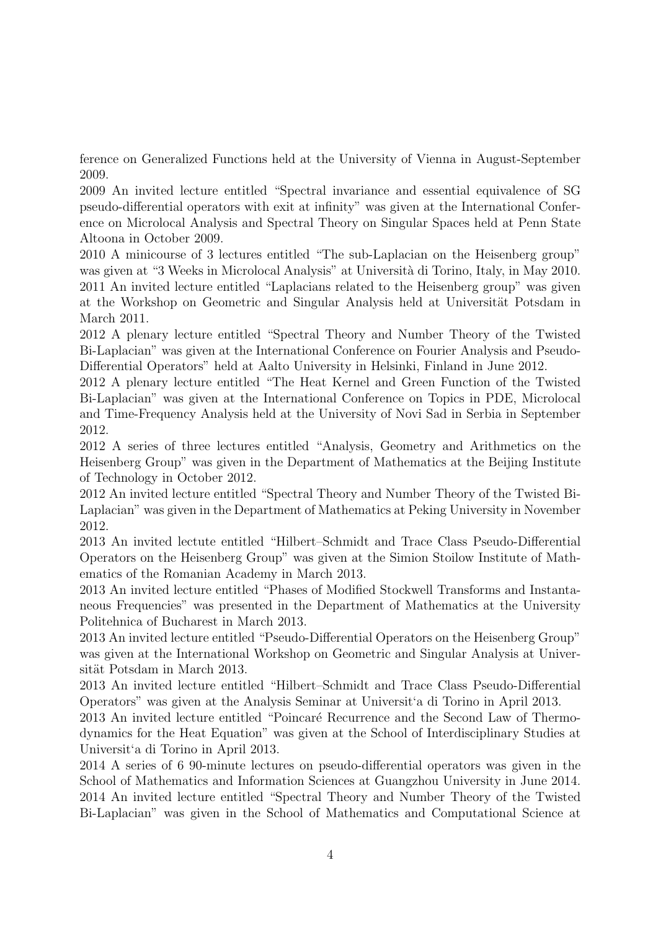ference on Generalized Functions held at the University of Vienna in August-September 2009.

2009 An invited lecture entitled "Spectral invariance and essential equivalence of SG pseudo-differential operators with exit at infinity" was given at the International Conference on Microlocal Analysis and Spectral Theory on Singular Spaces held at Penn State Altoona in October 2009.

2010 A minicourse of 3 lectures entitled "The sub-Laplacian on the Heisenberg group" was given at "3 Weeks in Microlocal Analysis" at Università di Torino, Italy, in May 2010. 2011 An invited lecture entitled "Laplacians related to the Heisenberg group" was given at the Workshop on Geometric and Singular Analysis held at Universität Potsdam in March 2011.

2012 A plenary lecture entitled "Spectral Theory and Number Theory of the Twisted Bi-Laplacian" was given at the International Conference on Fourier Analysis and Pseudo-Differential Operators" held at Aalto University in Helsinki, Finland in June 2012.

2012 A plenary lecture entitled "The Heat Kernel and Green Function of the Twisted Bi-Laplacian" was given at the International Conference on Topics in PDE, Microlocal and Time-Frequency Analysis held at the University of Novi Sad in Serbia in September 2012.

2012 A series of three lectures entitled "Analysis, Geometry and Arithmetics on the Heisenberg Group" was given in the Department of Mathematics at the Beijing Institute of Technology in October 2012.

2012 An invited lecture entitled "Spectral Theory and Number Theory of the Twisted Bi-Laplacian" was given in the Department of Mathematics at Peking University in November 2012.

2013 An invited lectute entitled "Hilbert–Schmidt and Trace Class Pseudo-Differential Operators on the Heisenberg Group" was given at the Simion Stoilow Institute of Mathematics of the Romanian Academy in March 2013.

2013 An invited lecture entitled "Phases of Modified Stockwell Transforms and Instantaneous Frequencies" was presented in the Department of Mathematics at the University Politehnica of Bucharest in March 2013.

2013 An invited lecture entitled "Pseudo-Differential Operators on the Heisenberg Group" was given at the International Workshop on Geometric and Singular Analysis at Universität Potsdam in March 2013.

2013 An invited lecture entitled "Hilbert–Schmidt and Trace Class Pseudo-Differential Operators" was given at the Analysis Seminar at Universit'a di Torino in April 2013.

2013 An invited lecture entitled "Poincaré Recurrence and the Second Law of Thermodynamics for the Heat Equation" was given at the School of Interdisciplinary Studies at Universit'a di Torino in April 2013.

2014 A series of 6 90-minute lectures on pseudo-differential operators was given in the School of Mathematics and Information Sciences at Guangzhou University in June 2014. 2014 An invited lecture entitled "Spectral Theory and Number Theory of the Twisted Bi-Laplacian" was given in the School of Mathematics and Computational Science at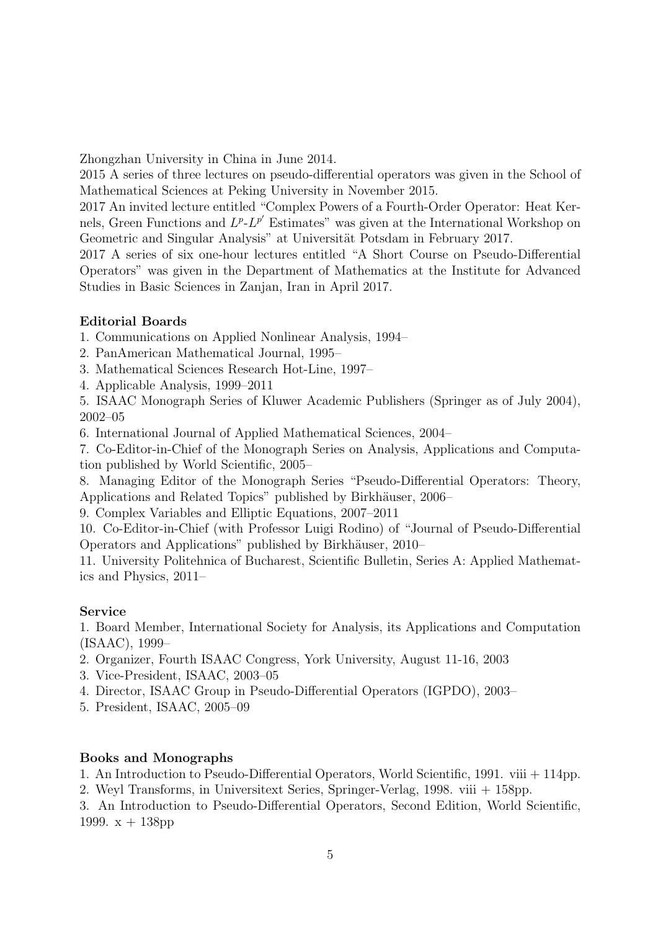Zhongzhan University in China in June 2014.

2015 A series of three lectures on pseudo-differential operators was given in the School of Mathematical Sciences at Peking University in November 2015.

2017 An invited lecture entitled "Complex Powers of a Fourth-Order Operator: Heat Kernels, Green Functions and  $L^p L^{p'}$  Estimates" was given at the International Workshop on Geometric and Singular Analysis" at Universität Potsdam in February 2017.

2017 A series of six one-hour lectures entitled "A Short Course on Pseudo-Differential Operators" was given in the Department of Mathematics at the Institute for Advanced Studies in Basic Sciences in Zanjan, Iran in April 2017.

# Editorial Boards

1. Communications on Applied Nonlinear Analysis, 1994–

2. PanAmerican Mathematical Journal, 1995–

3. Mathematical Sciences Research Hot-Line, 1997–

4. Applicable Analysis, 1999–2011

5. ISAAC Monograph Series of Kluwer Academic Publishers (Springer as of July 2004), 2002–05

6. International Journal of Applied Mathematical Sciences, 2004–

7. Co-Editor-in-Chief of the Monograph Series on Analysis, Applications and Computation published by World Scientific, 2005–

8. Managing Editor of the Monograph Series "Pseudo-Differential Operators: Theory, Applications and Related Topics" published by Birkhäuser, 2006–

9. Complex Variables and Elliptic Equations, 2007–2011

10. Co-Editor-in-Chief (with Professor Luigi Rodino) of "Journal of Pseudo-Differential Operators and Applications" published by Birkhäuser, 2010–

11. University Politehnica of Bucharest, Scientific Bulletin, Series A: Applied Mathematics and Physics, 2011–

# Service

1. Board Member, International Society for Analysis, its Applications and Computation (ISAAC), 1999–

- 2. Organizer, Fourth ISAAC Congress, York University, August 11-16, 2003
- 3. Vice-President, ISAAC, 2003–05
- 4. Director, ISAAC Group in Pseudo-Differential Operators (IGPDO), 2003–
- 5. President, ISAAC, 2005–09

# Books and Monographs

1. An Introduction to Pseudo-Differential Operators, World Scientific, 1991. viii + 114pp.

2. Weyl Transforms, in Universitext Series, Springer-Verlag, 1998. viii + 158pp.

3. An Introduction to Pseudo-Differential Operators, Second Edition, World Scientific, 1999.  $x + 138$ pp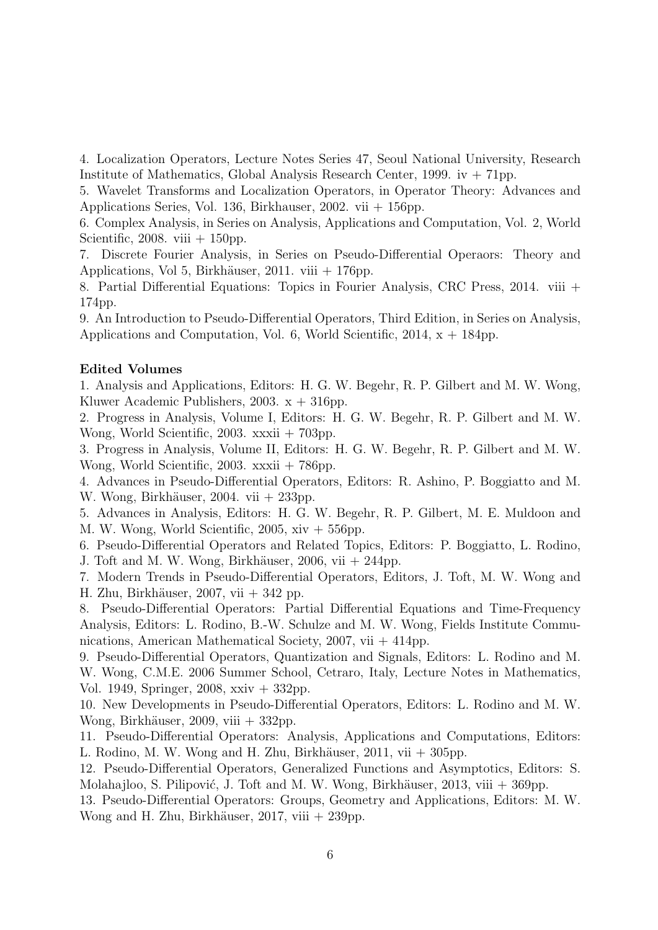4. Localization Operators, Lecture Notes Series 47, Seoul National University, Research Institute of Mathematics, Global Analysis Research Center, 1999. iv  $+71$ pp.

5. Wavelet Transforms and Localization Operators, in Operator Theory: Advances and Applications Series, Vol. 136, Birkhauser, 2002. vii + 156pp.

6. Complex Analysis, in Series on Analysis, Applications and Computation, Vol. 2, World Scientific, 2008. viii  $+ 150$ pp.

7. Discrete Fourier Analysis, in Series on Pseudo-Differential Operaors: Theory and Applications, Vol 5, Birkhäuser, 2011. viii + 176pp.

8. Partial Differential Equations: Topics in Fourier Analysis, CRC Press, 2014. viii + 174pp.

9. An Introduction to Pseudo-Differential Operators, Third Edition, in Series on Analysis, Applications and Computation, Vol. 6, World Scientific, 2014,  $x + 184$ pp.

### Edited Volumes

1. Analysis and Applications, Editors: H. G. W. Begehr, R. P. Gilbert and M. W. Wong, Kluwer Academic Publishers, 2003.  $x + 316$ pp.

2. Progress in Analysis, Volume I, Editors: H. G. W. Begehr, R. P. Gilbert and M. W. Wong, World Scientific, 2003. xxxii + 703pp.

3. Progress in Analysis, Volume II, Editors: H. G. W. Begehr, R. P. Gilbert and M. W. Wong, World Scientific, 2003. xxxii + 786pp.

4. Advances in Pseudo-Differential Operators, Editors: R. Ashino, P. Boggiatto and M. W. Wong, Birkhäuser, 2004. vii  $+ 233$ pp.

5. Advances in Analysis, Editors: H. G. W. Begehr, R. P. Gilbert, M. E. Muldoon and M. W. Wong, World Scientific,  $2005$ ,  $xiv + 556$ pp.

6. Pseudo-Differential Operators and Related Topics, Editors: P. Boggiatto, L. Rodino, J. Toft and M. W. Wong, Birkhäuser, 2006, vii  $+ 244$ pp.

7. Modern Trends in Pseudo-Differential Operators, Editors, J. Toft, M. W. Wong and H. Zhu, Birkhäuser, 2007, vii  $+342$  pp.

8. Pseudo-Differential Operators: Partial Differential Equations and Time-Frequency Analysis, Editors: L. Rodino, B.-W. Schulze and M. W. Wong, Fields Institute Communications, American Mathematical Society,  $2007$ , vii  $+414$ pp.

9. Pseudo-Differential Operators, Quantization and Signals, Editors: L. Rodino and M. W. Wong, C.M.E. 2006 Summer School, Cetraro, Italy, Lecture Notes in Mathematics, Vol. 1949, Springer, 2008, xxiv + 332pp.

10. New Developments in Pseudo-Differential Operators, Editors: L. Rodino and M. W. Wong, Birkhäuser, 2009, viii  $+ 332$ pp.

11. Pseudo-Differential Operators: Analysis, Applications and Computations, Editors: L. Rodino, M. W. Wong and H. Zhu, Birkhäuser,  $2011$ , vii  $+305$ pp.

12. Pseudo-Differential Operators, Generalized Functions and Asymptotics, Editors: S. Molahajloo, S. Pilipović, J. Toft and M. W. Wong, Birkhäuser, 2013, viii  $+369$ pp.

13. Pseudo-Differential Operators: Groups, Geometry and Applications, Editors: M. W. Wong and H. Zhu, Birkhäuser,  $2017$ , viii  $+ 239$ pp.